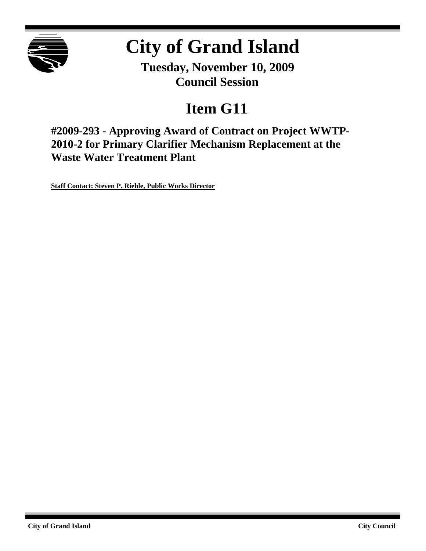

# **City of Grand Island**

**Tuesday, November 10, 2009 Council Session**

## **Item G11**

**#2009-293 - Approving Award of Contract on Project WWTP-2010-2 for Primary Clarifier Mechanism Replacement at the Waste Water Treatment Plant**

**Staff Contact: Steven P. Riehle, Public Works Director**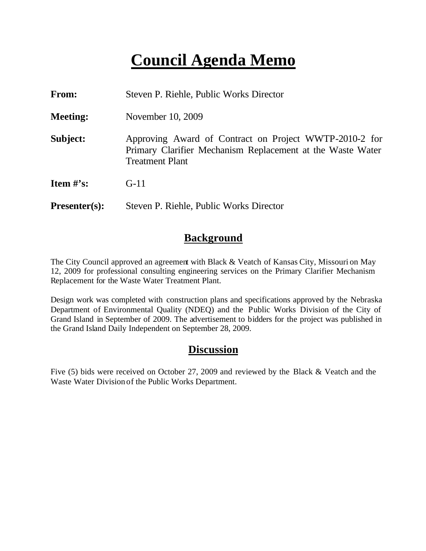## **Council Agenda Memo**

| From:                          | Steven P. Riehle, Public Works Director                                                                                                        |  |  |  |  |
|--------------------------------|------------------------------------------------------------------------------------------------------------------------------------------------|--|--|--|--|
| <b>Meeting:</b>                | November 10, 2009                                                                                                                              |  |  |  |  |
| Subject:                       | Approving Award of Contract on Project WWTP-2010-2 for<br>Primary Clarifier Mechanism Replacement at the Waste Water<br><b>Treatment Plant</b> |  |  |  |  |
| <b>Item <math>\#</math>'s:</b> | $G-11$                                                                                                                                         |  |  |  |  |
| $Presenter(s):$                | Steven P. Riehle, Public Works Director                                                                                                        |  |  |  |  |

#### **Background**

The City Council approved an agreement with Black & Veatch of Kansas City, Missouri on May 12, 2009 for professional consulting engineering services on the Primary Clarifier Mechanism Replacement for the Waste Water Treatment Plant.

Design work was completed with construction plans and specifications approved by the Nebraska Department of Environmental Quality (NDEQ) and the Public Works Division of the City of Grand Island in September of 2009. The advertisement to bidders for the project was published in the Grand Island Daily Independent on September 28, 2009.

#### **Discussion**

Five (5) bids were received on October 27, 2009 and reviewed by the Black & Veatch and the Waste Water Division of the Public Works Department.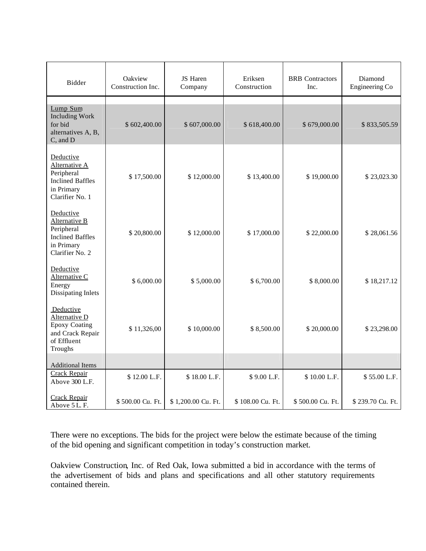| Bidder                                                                                                  | Oakview<br>Construction Inc. | <b>JS</b> Haren<br>Company | Eriksen<br>Construction | <b>BRB</b> Contractors<br>Inc. | Diamond<br>Engineering Co |
|---------------------------------------------------------------------------------------------------------|------------------------------|----------------------------|-------------------------|--------------------------------|---------------------------|
| Lump Sum<br><b>Including Work</b><br>for bid<br>alternatives A, B,<br>C, and D                          | \$602,400.00                 | \$607,000.00               | \$618,400.00            | \$679,000.00                   | \$833,505.59              |
| Deductive<br>Alternative A<br>Peripheral<br><b>Inclined Baffles</b><br>in Primary<br>Clarifier No. 1    | \$17,500.00                  | \$12,000.00                | \$13,400.00             | \$19,000.00                    | \$23,023.30               |
| Deductive<br>Alternative B<br>Peripheral<br><b>Inclined Baffles</b><br>in Primary<br>Clarifier No. 2    | \$20,800.00                  | \$12,000.00                | \$17,000.00             | \$22,000.00                    | \$28,061.56               |
| Deductive<br>Alternative C<br>Energy<br>Dissipating Inlets                                              | \$6,000.00                   | \$5,000.00                 | \$6,700.00              | \$8,000.00                     | \$18,217.12               |
| Deductive<br><b>Alternative D</b><br><b>Epoxy Coating</b><br>and Crack Repair<br>of Effluent<br>Troughs | \$11,326,00                  | \$10,000.00                | \$8,500.00              | \$20,000.00                    | \$23,298.00               |
| <b>Additional Items</b>                                                                                 |                              |                            |                         |                                |                           |
| <b>Crack Repair</b><br>Above 300 L.F.                                                                   | \$12.00 L.F.                 | \$18.00 L.F.               | \$9.00 L.F.             | \$10.00 L.F.                   | \$55.00 L.F.              |
| Crack Repair<br>Above 5 L.F.                                                                            | \$500.00 Cu. Ft.             | \$1,200.00 Cu. Ft.         | \$108.00 Cu. Ft.        | \$500.00 Cu. Ft.               | \$239.70 Cu. Ft.          |

There were no exceptions. The bids for the project were below the estimate because of the timing of the bid opening and significant competition in today's construction market.

Oakview Construction, Inc. of Red Oak, Iowa submitted a bid in accordance with the terms of the advertisement of bids and plans and specifications and all other statutory requirements contained therein.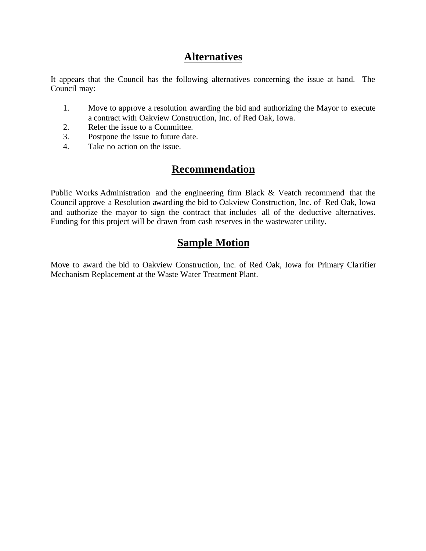### **Alternatives**

It appears that the Council has the following alternatives concerning the issue at hand. The Council may:

- 1. Move to approve a resolution awarding the bid and authorizing the Mayor to execute a contract with Oakview Construction, Inc. of Red Oak, Iowa.
- 2. Refer the issue to a Committee.
- 3. Postpone the issue to future date.
- 4. Take no action on the issue.

## **Recommendation**

Public Works Administration and the engineering firm Black & Veatch recommend that the Council approve a Resolution awarding the bid to Oakview Construction, Inc. of Red Oak, Iowa and authorize the mayor to sign the contract that includes all of the deductive alternatives. Funding for this project will be drawn from cash reserves in the wastewater utility.

### **Sample Motion**

Move to award the bid to Oakview Construction, Inc. of Red Oak, Iowa for Primary Cla rifier Mechanism Replacement at the Waste Water Treatment Plant.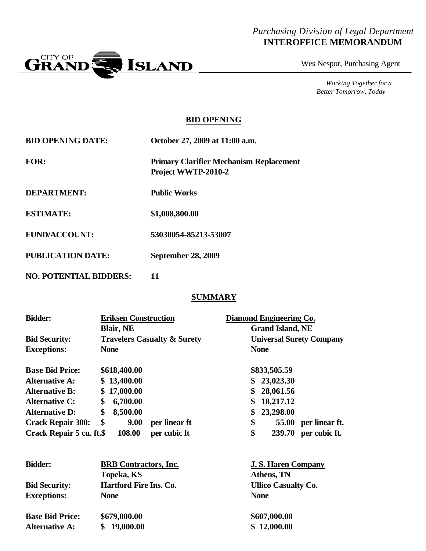#### *Purchasing Division of Legal Department* **INTEROFFICE MEMORANDUM**



Wes Nespor, Purchasing Agent

*Working Together for a Better Tomorrow, Today*

#### **BID OPENING**

| <b>BID OPENING DATE:</b>      | October 27, 2009 at 11:00 a.m.                                        |  |  |  |
|-------------------------------|-----------------------------------------------------------------------|--|--|--|
| <b>FOR:</b>                   | <b>Primary Clarifier Mechanism Replacement</b><br>Project WWTP-2010-2 |  |  |  |
| <b>DEPARTMENT:</b>            | <b>Public Works</b>                                                   |  |  |  |
| <b>ESTIMATE:</b>              | \$1,008,800.00                                                        |  |  |  |
| <b>FUND/ACCOUNT:</b>          | 53030054-85213-53007                                                  |  |  |  |
| <b>PUBLICATION DATE:</b>      | <b>September 28, 2009</b>                                             |  |  |  |
| <b>NO. POTENTIAL BIDDERS:</b> | 11                                                                    |  |  |  |

#### **SUMMARY**

| <b>Bidder:</b>           | <b>Eriksen Construction</b> |                                        | Diamond Engineering Co. |                                 |
|--------------------------|-----------------------------|----------------------------------------|-------------------------|---------------------------------|
|                          | <b>Blair, NE</b>            |                                        | <b>Grand Island, NE</b> |                                 |
| <b>Bid Security:</b>     |                             | <b>Travelers Casualty &amp; Surety</b> |                         | <b>Universal Surety Company</b> |
| <b>Exceptions:</b>       | <b>None</b>                 |                                        | <b>None</b>             |                                 |
| <b>Base Bid Price:</b>   | \$618,400.00                |                                        | \$833,505.59            |                                 |
| <b>Alternative A:</b>    | \$13,400.00                 |                                        | \$<br>23,023.30         |                                 |
| <b>Alternative B:</b>    | \$<br>17,000.00             |                                        | \$<br>28,061.56         |                                 |
| <b>Alternative C:</b>    | \$<br>6,700.00              |                                        | \$<br>18,217.12         |                                 |
| <b>Alternative D:</b>    | \$<br>8,500.00              |                                        | \$<br>23,298.00         |                                 |
| <b>Crack Repair 300:</b> | \$<br>9.00                  | per linear ft                          | \$<br>55.00             | per linear ft.                  |
| Crack Repair 5 cu. ft.\$ | 108.00                      | per cubic ft                           | \$<br>239.70            | per cubic ft.                   |
|                          |                             |                                        |                         |                                 |

| <b>Bidder:</b>         | <b>BRB</b> Contractors, Inc.  | <b>J. S. Haren Company</b> |  |  |
|------------------------|-------------------------------|----------------------------|--|--|
|                        | Topeka, KS                    | Athens, TN                 |  |  |
| <b>Bid Security:</b>   | <b>Hartford Fire Ins. Co.</b> | <b>Ullico Casualty Co.</b> |  |  |
| <b>Exceptions:</b>     | <b>None</b>                   | <b>None</b>                |  |  |
| <b>Base Bid Price:</b> | \$679,000.00                  | \$607,000.00               |  |  |
| <b>Alternative A:</b>  | 19,000.00                     | \$12,000.00                |  |  |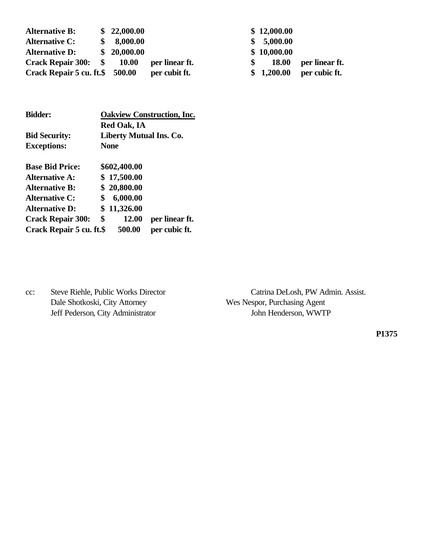| <b>Alternative B:</b>              | \$22,000.00  |                | \$12,000.00  |                |
|------------------------------------|--------------|----------------|--------------|----------------|
| <b>Alternative C:</b>              | 8,000.00     |                | \$ 5,000.00  |                |
| <b>Alternative D:</b>              | \$20,000.00  |                | \$10,000.00  |                |
| Crack Repair 300: \$               | <b>10.00</b> | per linear ft. | <b>18.00</b> | per linear ft. |
| Crack Repair $5$ cu. ft. $$500.00$ |              | per cubit ft.  | \$1,200.00   | per cubic ft.  |

| <b>Bidder:</b>           |    | <b>Oakview Construction, Inc.</b> |                |  |  |  |
|--------------------------|----|-----------------------------------|----------------|--|--|--|
|                          |    | <b>Red Oak, IA</b>                |                |  |  |  |
| <b>Bid Security:</b>     |    | Liberty Mutual Ins. Co.           |                |  |  |  |
| <b>Exceptions:</b>       |    | <b>None</b>                       |                |  |  |  |
| <b>Base Bid Price:</b>   |    | \$602,400.00                      |                |  |  |  |
| <b>Alternative A:</b>    |    | \$17,500.00                       |                |  |  |  |
| <b>Alternative B:</b>    |    | \$20,800.00                       |                |  |  |  |
| <b>Alternative C:</b>    | \$ | 6,000.00                          |                |  |  |  |
| <b>Alternative D:</b>    |    | \$11,326.00                       |                |  |  |  |
| <b>Crack Repair 300:</b> | \$ | 12.00                             | per linear ft. |  |  |  |
| Crack Repair 5 cu. ft.\$ |    | 500.00                            | per cubic ft.  |  |  |  |

Dale Shotkoski, City Attorney Wes Nespor, Purchasing Agent Jeff Pederson, City Administrator John Henderson, WWTP

cc: Steve Riehle, Public Works Director Catrina DeLosh, PW Admin. Assist.

**P1375**